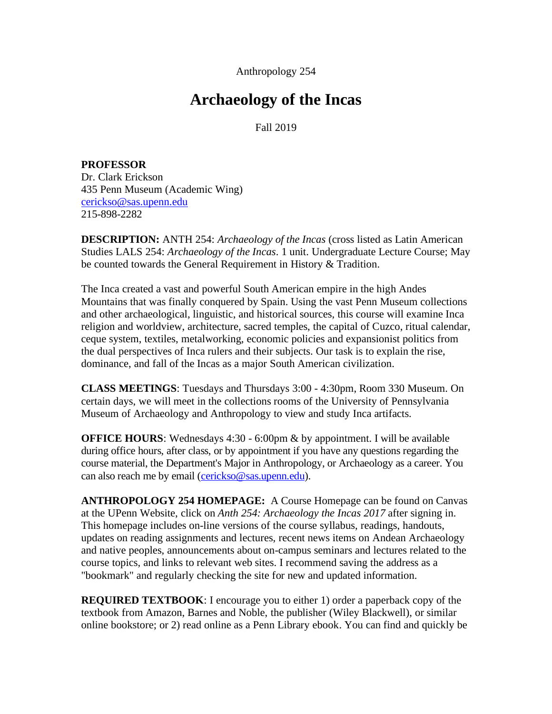Anthropology 254

# **Archaeology of the Incas**

Fall 2019

**PROFESSOR** Dr. Clark Erickson 435 Penn Museum (Academic Wing) [cerickso@sas.upenn.edu](mailto:cerickso@sas.upenn.edu) 215-898-2282

**DESCRIPTION:** ANTH 254: *Archaeology of the Incas* (cross listed as Latin American Studies LALS 254: *Archaeology of the Incas*. 1 unit. Undergraduate Lecture Course; May be counted towards the General Requirement in History & Tradition.

The Inca created a vast and powerful South American empire in the high Andes Mountains that was finally conquered by Spain. Using the vast Penn Museum collections and other archaeological, linguistic, and historical sources, this course will examine Inca religion and worldview, architecture, sacred temples, the capital of Cuzco, ritual calendar, ceque system, textiles, metalworking, economic policies and expansionist politics from the dual perspectives of Inca rulers and their subjects. Our task is to explain the rise, dominance, and fall of the Incas as a major South American civilization.

**CLASS MEETINGS**: Tuesdays and Thursdays 3:00 - 4:30pm, Room 330 Museum. On certain days, we will meet in the collections rooms of the University of Pennsylvania Museum of Archaeology and Anthropology to view and study Inca artifacts.

**OFFICE HOURS**: Wednesdays 4:30 - 6:00pm & by appointment. I will be available during office hours, after class, or by appointment if you have any questions regarding the course material, the Department's Major in Anthropology, or Archaeology as a career. You can also reach me by email [\(cerickso@sas.upenn.edu\)](mailto:cerickso@sas.upenn.edu).

**ANTHROPOLOGY 254 HOMEPAGE:** A Course Homepage can be found on Canvas at the UPenn Website, click on *Anth 254: Archaeology the Incas 2017* after signing in. This homepage includes on-line versions of the course syllabus, readings, handouts, updates on reading assignments and lectures, recent news items on Andean Archaeology and native peoples, announcements about on-campus seminars and lectures related to the course topics, and links to relevant web sites. I recommend saving the address as a "bookmark" and regularly checking the site for new and updated information.

**REQUIRED TEXTBOOK**: I encourage you to either 1) order a paperback copy of the textbook from Amazon, Barnes and Noble, the publisher (Wiley Blackwell), or similar online bookstore; or 2) read online as a Penn Library ebook. You can find and quickly be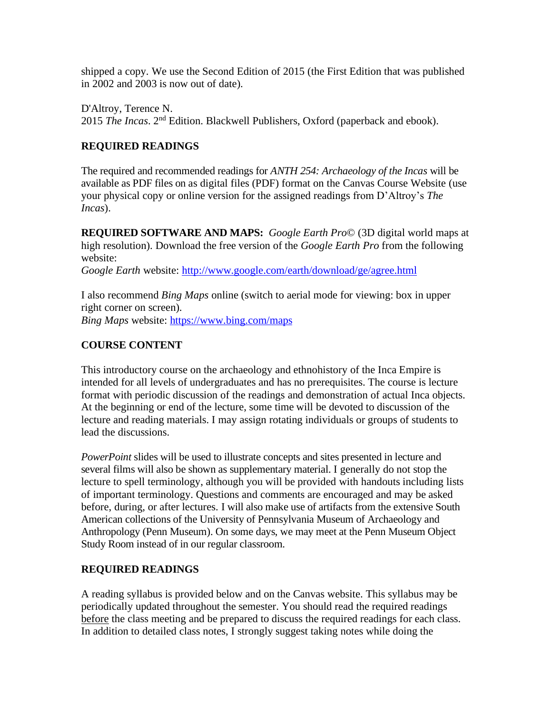shipped a copy. We use the Second Edition of 2015 (the First Edition that was published in 2002 and 2003 is now out of date).

D'Altroy, Terence N. 2015 *The Incas*. 2<sup>nd</sup> Edition. Blackwell Publishers, Oxford (paperback and ebook).

## **REQUIRED READINGS**

The required and recommended readings for *ANTH 254: Archaeology of the Incas* will be available as PDF files on as digital files (PDF) format on the Canvas Course Website (use your physical copy or online version for the assigned readings from D'Altroy's *The Incas*).

**REQUIRED SOFTWARE AND MAPS:** *Google Earth Pro*© (3D digital world maps at high resolution). Download the free version of the *Google Earth Pro* from the following website:

*Google Earth* website:<http://www.google.com/earth/download/ge/agree.html>

I also recommend *Bing Maps* online (switch to aerial mode for viewing: box in upper right corner on screen).

*Bing Maps* website:<https://www.bing.com/maps>

# **COURSE CONTENT**

This introductory course on the archaeology and ethnohistory of the Inca Empire is intended for all levels of undergraduates and has no prerequisites. The course is lecture format with periodic discussion of the readings and demonstration of actual Inca objects. At the beginning or end of the lecture, some time will be devoted to discussion of the lecture and reading materials. I may assign rotating individuals or groups of students to lead the discussions.

*PowerPoint* slides will be used to illustrate concepts and sites presented in lecture and several films will also be shown as supplementary material. I generally do not stop the lecture to spell terminology, although you will be provided with handouts including lists of important terminology. Questions and comments are encouraged and may be asked before, during, or after lectures. I will also make use of artifacts from the extensive South American collections of the University of Pennsylvania Museum of Archaeology and Anthropology (Penn Museum). On some days, we may meet at the Penn Museum Object Study Room instead of in our regular classroom.

## **REQUIRED READINGS**

A reading syllabus is provided below and on the Canvas website. This syllabus may be periodically updated throughout the semester. You should read the required readings before the class meeting and be prepared to discuss the required readings for each class. In addition to detailed class notes, I strongly suggest taking notes while doing the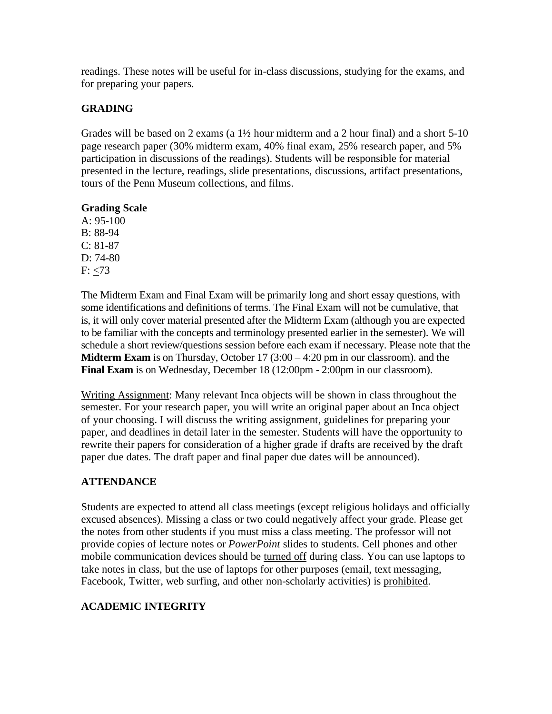readings. These notes will be useful for in-class discussions, studying for the exams, and for preparing your papers.

## **GRADING**

Grades will be based on 2 exams (a 1½ hour midterm and a 2 hour final) and a short 5-10 page research paper (30% midterm exam, 40% final exam, 25% research paper, and 5% participation in discussions of the readings). Students will be responsible for material presented in the lecture, readings, slide presentations, discussions, artifact presentations, tours of the Penn Museum collections, and films.

## **Grading Scale**

A: 95-100 B: 88-94  $C: 81-87$ D: 74-80  $F: < 73$ 

The Midterm Exam and Final Exam will be primarily long and short essay questions, with some identifications and definitions of terms. The Final Exam will not be cumulative, that is, it will only cover material presented after the Midterm Exam (although you are expected to be familiar with the concepts and terminology presented earlier in the semester). We will schedule a short review/questions session before each exam if necessary. Please note that the **Midterm Exam** is on Thursday, October 17 (3:00 – 4:20 pm in our classroom). and the **Final Exam** is on Wednesday, December 18 (12:00pm - 2:00pm in our classroom).

Writing Assignment: Many relevant Inca objects will be shown in class throughout the semester. For your research paper, you will write an original paper about an Inca object of your choosing. I will discuss the writing assignment, guidelines for preparing your paper, and deadlines in detail later in the semester. Students will have the opportunity to rewrite their papers for consideration of a higher grade if drafts are received by the draft paper due dates. The draft paper and final paper due dates will be announced).

# **ATTENDANCE**

Students are expected to attend all class meetings (except religious holidays and officially excused absences). Missing a class or two could negatively affect your grade. Please get the notes from other students if you must miss a class meeting. The professor will not provide copies of lecture notes or *PowerPoint* slides to students. Cell phones and other mobile communication devices should be turned off during class. You can use laptops to take notes in class, but the use of laptops for other purposes (email, text messaging, Facebook, Twitter, web surfing, and other non-scholarly activities) is prohibited.

# **ACADEMIC INTEGRITY**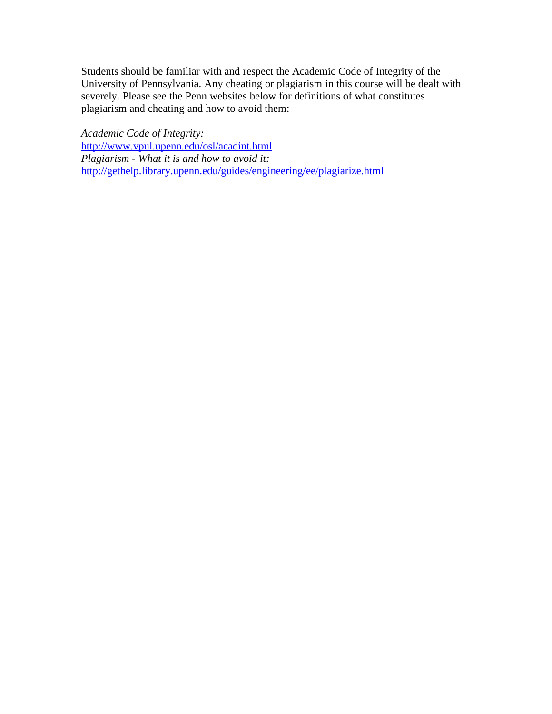Students should be familiar with and respect the Academic Code of Integrity of the University of Pennsylvania. Any cheating or plagiarism in this course will be dealt with severely. Please see the Penn websites below for definitions of what constitutes plagiarism and cheating and how to avoid them:

*Academic Code of Integrity:*  <http://www.vpul.upenn.edu/osl/acadint.html> *Plagiarism - What it is and how to avoid it:*  <http://gethelp.library.upenn.edu/guides/engineering/ee/plagiarize.html>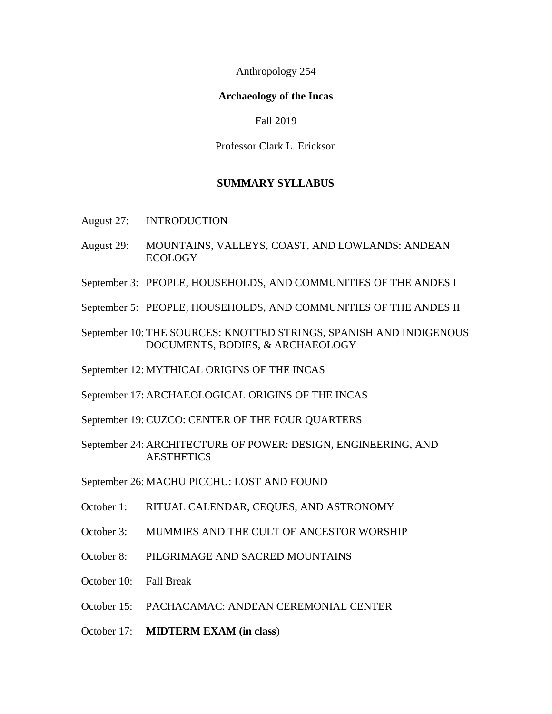Anthropology 254

#### **Archaeology of the Incas**

Fall 2019

Professor Clark L. Erickson

#### **SUMMARY SYLLABUS**

- August 27: INTRODUCTION
- August 29: MOUNTAINS, VALLEYS, COAST, AND LOWLANDS: ANDEAN ECOLOGY
- September 3: PEOPLE, HOUSEHOLDS, AND COMMUNITIES OF THE ANDES I
- September 5: PEOPLE, HOUSEHOLDS, AND COMMUNITIES OF THE ANDES II
- September 10: THE SOURCES: KNOTTED STRINGS, SPANISH AND INDIGENOUS DOCUMENTS, BODIES, & ARCHAEOLOGY
- September 12: MYTHICAL ORIGINS OF THE INCAS
- September 17: ARCHAEOLOGICAL ORIGINS OF THE INCAS
- September 19: CUZCO: CENTER OF THE FOUR QUARTERS
- September 24: ARCHITECTURE OF POWER: DESIGN, ENGINEERING, AND **AESTHETICS**
- September 26: MACHU PICCHU: LOST AND FOUND
- October 1: RITUAL CALENDAR, CEQUES, AND ASTRONOMY
- October 3: MUMMIES AND THE CULT OF ANCESTOR WORSHIP
- October 8: PILGRIMAGE AND SACRED MOUNTAINS
- October 10: Fall Break
- October 15: PACHACAMAC: ANDEAN CEREMONIAL CENTER
- October 17: **MIDTERM EXAM (in class**)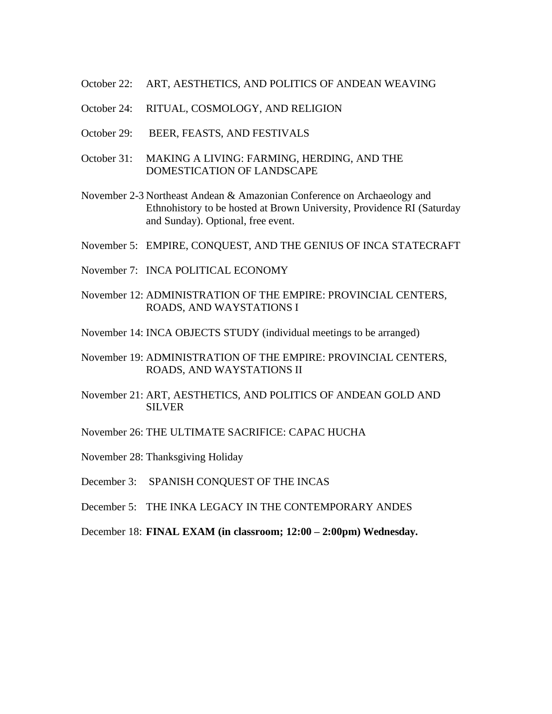- October 22: ART, AESTHETICS, AND POLITICS OF ANDEAN WEAVING
- October 24: RITUAL, COSMOLOGY, AND RELIGION
- October 29: BEER, FEASTS, AND FESTIVALS
- October 31: MAKING A LIVING: FARMING, HERDING, AND THE DOMESTICATION OF LANDSCAPE
- November 2-3 Northeast Andean & Amazonian Conference on Archaeology and Ethnohistory to be hosted at Brown University, Providence RI (Saturday and Sunday). Optional, free event.
- November 5: EMPIRE, CONQUEST, AND THE GENIUS OF INCA STATECRAFT
- November 7: INCA POLITICAL ECONOMY
- November 12: ADMINISTRATION OF THE EMPIRE: PROVINCIAL CENTERS, ROADS, AND WAYSTATIONS I
- November 14: INCA OBJECTS STUDY (individual meetings to be arranged)
- November 19: ADMINISTRATION OF THE EMPIRE: PROVINCIAL CENTERS, ROADS, AND WAYSTATIONS II
- November 21: ART, AESTHETICS, AND POLITICS OF ANDEAN GOLD AND SILVER
- November 26: THE ULTIMATE SACRIFICE: CAPAC HUCHA
- November 28: Thanksgiving Holiday
- December 3: SPANISH CONQUEST OF THE INCAS
- December 5: THE INKA LEGACY IN THE CONTEMPORARY ANDES
- December 18: **FINAL EXAM (in classroom; 12:00 – 2:00pm) Wednesday.**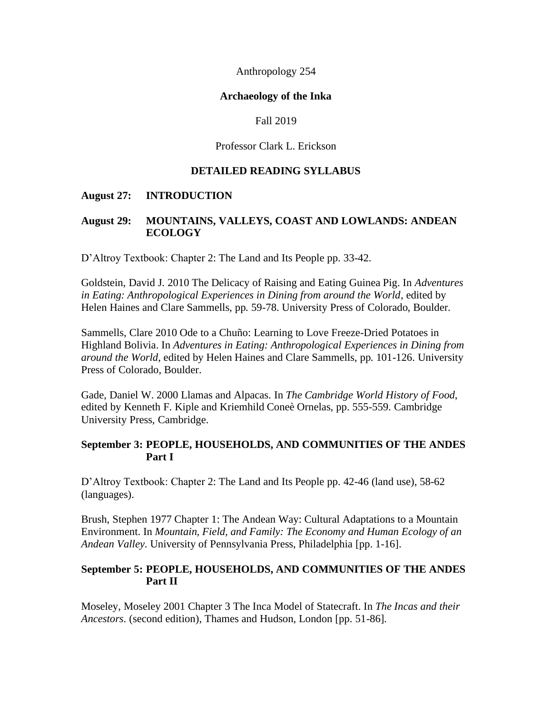Anthropology 254

#### **Archaeology of the Inka**

#### Fall 2019

#### Professor Clark L. Erickson

#### **DETAILED READING SYLLABUS**

#### **August 27: INTRODUCTION**

#### **August 29: MOUNTAINS, VALLEYS, COAST AND LOWLANDS: ANDEAN ECOLOGY**

D'Altroy Textbook: Chapter 2: The Land and Its People pp. 33-42.

Goldstein, David J. 2010 The Delicacy of Raising and Eating Guinea Pig. In *Adventures in Eating: Anthropological Experiences in Dining from around the World*, edited by Helen Haines and Clare Sammells, pp. 59-78. University Press of Colorado, Boulder.

Sammells, Clare 2010 Ode to a Chuño: Learning to Love Freeze-Dried Potatoes in Highland Bolivia. In *Adventures in Eating: Anthropological Experiences in Dining from around the World*, edited by Helen Haines and Clare Sammells, pp. 101-126. University Press of Colorado, Boulder.

Gade, Daniel W. 2000 Llamas and Alpacas. In *The Cambridge World History of Food*, edited by Kenneth F. Kiple and Kriemhild Coneè Ornelas, pp. 555-559. Cambridge University Press, Cambridge.

#### **September 3: PEOPLE, HOUSEHOLDS, AND COMMUNITIES OF THE ANDES Part I**

D'Altroy Textbook: Chapter 2: The Land and Its People pp. 42-46 (land use), 58-62 (languages).

Brush, Stephen 1977 Chapter 1: The Andean Way: Cultural Adaptations to a Mountain Environment. In *Mountain, Field, and Family: The Economy and Human Ecology of an Andean Valley*. University of Pennsylvania Press, Philadelphia [pp. 1-16].

#### **September 5: PEOPLE, HOUSEHOLDS, AND COMMUNITIES OF THE ANDES Part II**

Moseley, Moseley 2001 Chapter 3 The Inca Model of Statecraft. In *The Incas and their Ancestors*. (second edition), Thames and Hudson, London [pp. 51-86].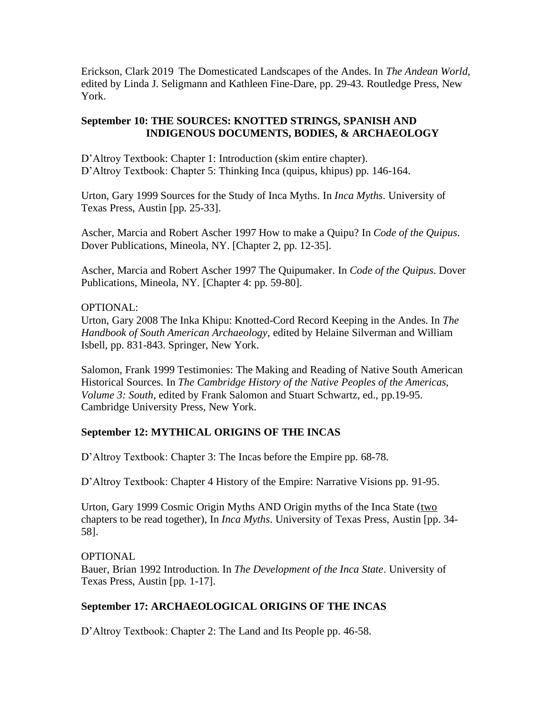Erickson, Clark 2019 The Domesticated Landscapes of the Andes. In *The Andean World*, edited by Linda J. Seligmann and Kathleen Fine-Dare, pp. 29-43. Routledge Press, New York.

## **September 10: THE SOURCES: KNOTTED STRINGS, SPANISH AND INDIGENOUS DOCUMENTS, BODIES, & ARCHAEOLOGY**

D'Altroy Textbook: Chapter 1: Introduction (skim entire chapter). D'Altroy Textbook: Chapter 5: Thinking Inca (quipus, khipus) pp. 146-164.

Urton, Gary 1999 Sources for the Study of Inca Myths. In *Inca Myths*. University of Texas Press, Austin [pp. 25-33].

Ascher, Marcia and Robert Ascher 1997 How to make a Quipu? In *Code of the Quipus*. Dover Publications, Mineola, NY. [Chapter 2, pp. 12-35].

Ascher, Marcia and Robert Ascher 1997 The Quipumaker. In *Code of the Quipus*. Dover Publications, Mineola, NY. [Chapter 4: pp. 59-80].

## OPTIONAL:

Urton, Gary 2008 The Inka Khipu: Knotted-Cord Record Keeping in the Andes. In *The Handbook of South American Archaeology*, edited by Helaine Silverman and William Isbell, pp. 831-843. Springer, New York.

Salomon, Frank 1999 Testimonies: The Making and Reading of Native South American Historical Sources. In *The Cambridge History of the Native Peoples of the Americas, Volume 3: South*, edited by Frank Salomon and Stuart Schwartz, ed., pp.19-95. Cambridge University Press, New York.

## **September 12: MYTHICAL ORIGINS OF THE INCAS**

D'Altroy Textbook: Chapter 3: The Incas before the Empire pp. 68-78.

D'Altroy Textbook: Chapter 4 History of the Empire: Narrative Visions pp. 91-95.

Urton, Gary 1999 Cosmic Origin Myths AND Origin myths of the Inca State (two chapters to be read together), In *Inca Myths*. University of Texas Press, Austin [pp. 34- 58].

#### **OPTIONAL**

Bauer, Brian 1992 Introduction. In *The Development of the Inca State*. University of Texas Press, Austin [pp. 1-17].

## **September 17: ARCHAEOLOGICAL ORIGINS OF THE INCAS**

D'Altroy Textbook: Chapter 2: The Land and Its People pp. 46-58.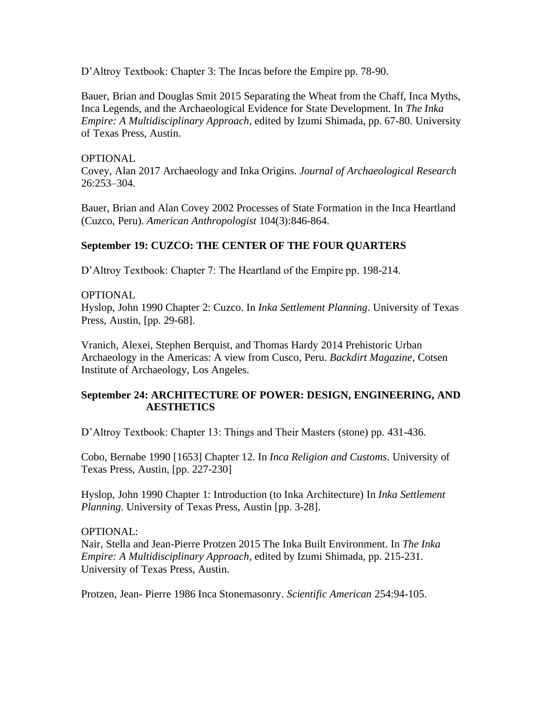D'Altroy Textbook: Chapter 3: The Incas before the Empire pp. 78-90.

Bauer, Brian and Douglas Smit 2015 Separating the Wheat from the Chaff, Inca Myths, Inca Legends, and the Archaeological Evidence for State Development. In *The Inka Empire: A Multidisciplinary Approach*, edited by Izumi Shimada, pp. 67-80. University of Texas Press, Austin.

#### **OPTIONAL**

Covey, Alan 2017 Archaeology and Inka Origins. *Journal of Archaeological Research* 26:253–304.

Bauer, Brian and Alan Covey 2002 Processes of State Formation in the Inca Heartland (Cuzco, Peru). *American Anthropologist* 104(3):846-864.

## **September 19: CUZCO: THE CENTER OF THE FOUR QUARTERS**

D'Altroy Textbook: Chapter 7: The Heartland of the Empire pp. 198-214.

## OPTIONAL

Hyslop, John 1990 Chapter 2: Cuzco. In *Inka Settlement Planning*. University of Texas Press, Austin, [pp. 29-68].

Vranich, Alexei, Stephen Berquist, and Thomas Hardy 2014 Prehistoric Urban Archaeology in the Americas: A view from Cusco, Peru. *Backdirt Magazine*, Cotsen Institute of Archaeology, Los Angeles.

## **September 24: ARCHITECTURE OF POWER: DESIGN, ENGINEERING, AND AESTHETICS**

D'Altroy Textbook: Chapter 13: Things and Their Masters (stone) pp. 431-436.

Cobo, Bernabe 1990 [1653] Chapter 12. In *Inca Religion and Customs*. University of Texas Press, Austin, [pp. 227-230]

Hyslop, John 1990 Chapter 1: Introduction (to Inka Architecture) In *Inka Settlement Planning*. University of Texas Press, Austin [pp. 3-28].

#### OPTIONAL:

Nair, Stella and Jean-Pierre Protzen 2015 The Inka Built Environment. In *The Inka Empire: A Multidisciplinary Approach*, edited by Izumi Shimada, pp. 215-231. University of Texas Press, Austin.

Protzen, Jean- Pierre 1986 Inca Stonemasonry. *Scientific American* 254:94-105.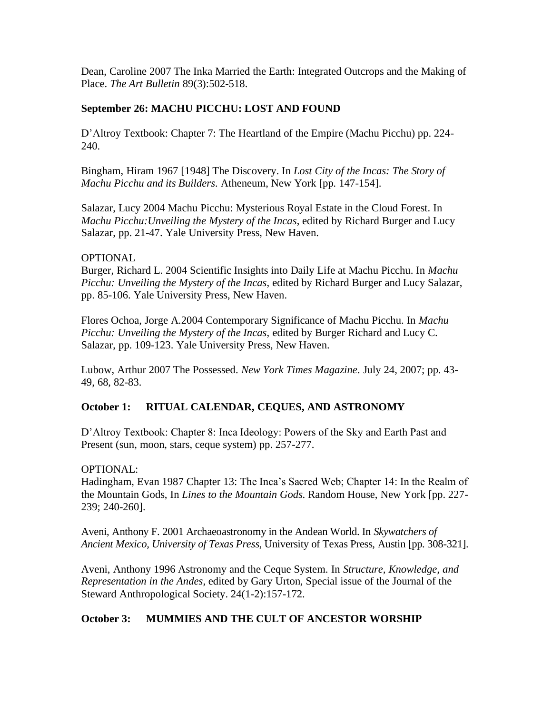Dean, Caroline 2007 The Inka Married the Earth: Integrated Outcrops and the Making of Place. *The Art Bulletin* 89(3):502-518.

## **September 26: MACHU PICCHU: LOST AND FOUND**

D'Altroy Textbook: Chapter 7: The Heartland of the Empire (Machu Picchu) pp. 224- 240.

Bingham, Hiram 1967 [1948] The Discovery. In *Lost City of the Incas: The Story of Machu Picchu and its Builders*. Atheneum, New York [pp. 147-154].

Salazar, Lucy 2004 Machu Picchu: Mysterious Royal Estate in the Cloud Forest. In *Machu Picchu:Unveiling the Mystery of the Incas*, edited by Richard Burger and Lucy Salazar, pp. 21-47. Yale University Press, New Haven.

#### **OPTIONAL**

Burger, Richard L. 2004 Scientific Insights into Daily Life at Machu Picchu. In *Machu Picchu: Unveiling the Mystery of the Incas*, edited by Richard Burger and Lucy Salazar, pp. 85-106. Yale University Press, New Haven.

Flores Ochoa, Jorge A.2004 Contemporary Significance of Machu Picchu. In *Machu Picchu: Unveiling the Mystery of the Incas*, edited by Burger Richard and Lucy C. Salazar, pp. 109-123. Yale University Press, New Haven.

Lubow, Arthur 2007 The Possessed. *New York Times Magazine*. July 24, 2007; pp. 43- 49, 68, 82-83.

## **October 1: RITUAL CALENDAR, CEQUES, AND ASTRONOMY**

D'Altroy Textbook: Chapter 8: Inca Ideology: Powers of the Sky and Earth Past and Present (sun, moon, stars, ceque system) pp. 257-277.

OPTIONAL:

Hadingham, Evan 1987 Chapter 13: The Inca's Sacred Web; Chapter 14: In the Realm of the Mountain Gods, In *Lines to the Mountain Gods*. Random House, New York [pp. 227- 239; 240-260].

Aveni, Anthony F. 2001 Archaeoastronomy in the Andean World. In *Skywatchers of Ancient Mexico, University of Texas Press*, University of Texas Press, Austin [pp. 308-321].

Aveni, Anthony 1996 Astronomy and the Ceque System. In *Structure, Knowledge, and Representation in the Andes*, edited by Gary Urton, Special issue of the Journal of the Steward Anthropological Society. 24(1-2):157-172.

## **October 3: MUMMIES AND THE CULT OF ANCESTOR WORSHIP**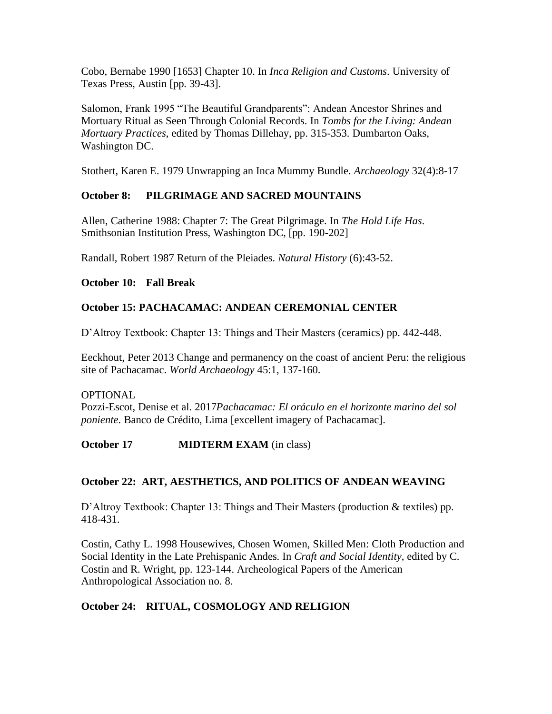Cobo, Bernabe 1990 [1653] Chapter 10. In *Inca Religion and Customs*. University of Texas Press, Austin [pp. 39-43].

Salomon, Frank 1995 "The Beautiful Grandparents": Andean Ancestor Shrines and Mortuary Ritual as Seen Through Colonial Records. In *Tombs for the Living: Andean Mortuary Practices*, edited by Thomas Dillehay, pp. 315-353. Dumbarton Oaks, Washington DC.

Stothert, Karen E. 1979 Unwrapping an Inca Mummy Bundle. *Archaeology* 32(4):8-17

## **October 8: PILGRIMAGE AND SACRED MOUNTAINS**

Allen, Catherine 1988: Chapter 7: The Great Pilgrimage. In *The Hold Life Has*. Smithsonian Institution Press, Washington DC, [pp. 190-202]

Randall, Robert 1987 Return of the Pleiades. *Natural History* (6):43-52.

## **October 10: Fall Break**

# **October 15: PACHACAMAC: ANDEAN CEREMONIAL CENTER**

D'Altroy Textbook: Chapter 13: Things and Their Masters (ceramics) pp. 442-448.

Eeckhout, Peter 2013 Change and permanency on the coast of ancient Peru: the religious site of Pachacamac. *World Archaeology* 45:1, 137-160.

#### OPTIONAL

Pozzi-Escot, Denise et al. 2017*Pachacamac: El oráculo en el horizonte marino del sol poniente*. Banco de Crédito, Lima [excellent imagery of Pachacamac].

**October 17 MIDTERM EXAM** (in class)

## **October 22: ART, AESTHETICS, AND POLITICS OF ANDEAN WEAVING**

D'Altroy Textbook: Chapter 13: Things and Their Masters (production & textiles) pp. 418-431.

Costin, Cathy L. 1998 Housewives, Chosen Women, Skilled Men: Cloth Production and Social Identity in the Late Prehispanic Andes. In *Craft and Social Identity*, edited by C. Costin and R. Wright, pp. 123-144. Archeological Papers of the American Anthropological Association no. 8.

## **October 24: RITUAL, COSMOLOGY AND RELIGION**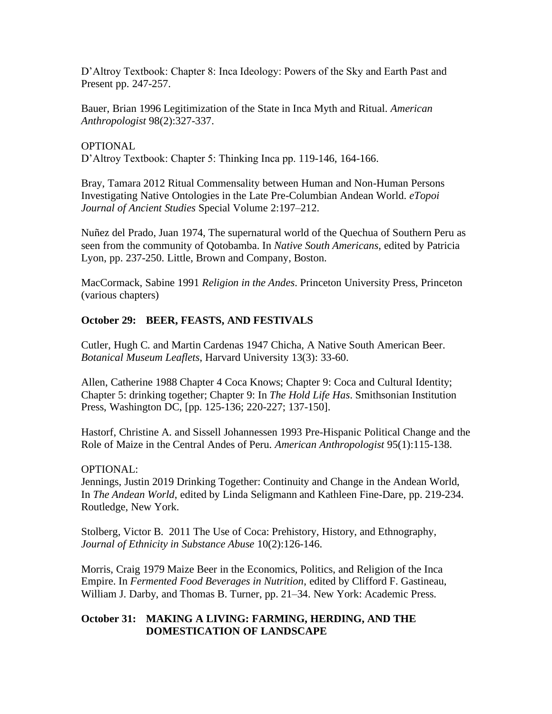D'Altroy Textbook: Chapter 8: Inca Ideology: Powers of the Sky and Earth Past and Present pp. 247-257.

Bauer, Brian 1996 Legitimization of the State in Inca Myth and Ritual. *American Anthropologist* 98(2):327-337.

OPTIONAL D'Altroy Textbook: Chapter 5: Thinking Inca pp. 119-146, 164-166.

Bray, Tamara 2012 Ritual Commensality between Human and Non-Human Persons Investigating Native Ontologies in the Late Pre-Columbian Andean World. *eTopoi Journal of Ancient Studies* Special Volume 2:197–212.

Nuñez del Prado, Juan 1974, The supernatural world of the Quechua of Southern Peru as seen from the community of Qotobamba. In *Native South Americans*, edited by Patricia Lyon, pp. 237-250. Little, Brown and Company, Boston.

MacCormack, Sabine 1991 *Religion in the Andes*. Princeton University Press, Princeton (various chapters)

## **October 29: BEER, FEASTS, AND FESTIVALS**

Cutler, Hugh C. and Martin Cardenas 1947 Chicha, A Native South American Beer. *Botanical Museum Leaflets*, Harvard University 13(3): 33-60.

Allen, Catherine 1988 Chapter 4 Coca Knows; Chapter 9: Coca and Cultural Identity; Chapter 5: drinking together; Chapter 9: In *The Hold Life Has*. Smithsonian Institution Press, Washington DC, [pp. 125-136; 220-227; 137-150].

Hastorf, Christine A. and Sissell Johannessen 1993 Pre-Hispanic Political Change and the Role of Maize in the Central Andes of Peru. *American Anthropologist* 95(1):115-138.

#### OPTIONAL:

Jennings, Justin 2019 Drinking Together: Continuity and Change in the Andean World, In *The Andean World*, edited by Linda Seligmann and Kathleen Fine-Dare, pp. 219-234. Routledge, New York.

Stolberg, Victor B. 2011 The Use of Coca: Prehistory, History, and Ethnography, *Journal of Ethnicity in Substance Abuse* 10(2):126-146.

Morris, Craig 1979 Maize Beer in the Economics, Politics, and Religion of the Inca Empire. In *Fermented Food Beverages in Nutrition*, edited by Clifford F. Gastineau, William J. Darby, and Thomas B. Turner, pp. 21–34. New York: Academic Press.

## **October 31: MAKING A LIVING: FARMING, HERDING, AND THE DOMESTICATION OF LANDSCAPE**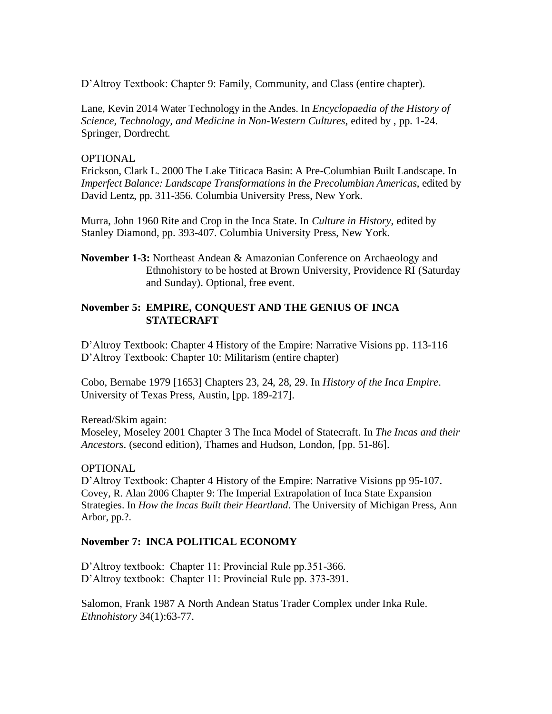D'Altroy Textbook: Chapter 9: Family, Community, and Class (entire chapter).

Lane, Kevin 2014 Water Technology in the Andes. In *Encyclopaedia of the History of Science, Technology, and Medicine in Non-Western Cultures*, edited by , pp. 1-24. Springer, Dordrecht.

#### **OPTIONAL**

Erickson, Clark L. 2000 The Lake Titicaca Basin: A Pre-Columbian Built Landscape. In *Imperfect Balance: Landscape Transformations in the Precolumbian Americas*, edited by David Lentz, pp. 311-356. Columbia University Press, New York.

Murra, John 1960 Rite and Crop in the Inca State. In *Culture in History*, edited by Stanley Diamond, pp. 393-407. Columbia University Press, New York.

**November 1-3:** Northeast Andean & Amazonian Conference on Archaeology and Ethnohistory to be hosted at Brown University, Providence RI (Saturday and Sunday). Optional, free event.

## **November 5: EMPIRE, CONQUEST AND THE GENIUS OF INCA STATECRAFT**

D'Altroy Textbook: Chapter 4 History of the Empire: Narrative Visions pp. 113-116 D'Altroy Textbook: Chapter 10: Militarism (entire chapter)

Cobo, Bernabe 1979 [1653] Chapters 23, 24, 28, 29. In *History of the Inca Empire*. University of Texas Press, Austin, [pp. 189-217].

Reread/Skim again:

Moseley, Moseley 2001 Chapter 3 The Inca Model of Statecraft. In *The Incas and their Ancestors*. (second edition), Thames and Hudson, London, [pp. 51-86].

#### OPTIONAL

D'Altroy Textbook: Chapter 4 History of the Empire: Narrative Visions pp 95-107. Covey, R. Alan 2006 Chapter 9: The Imperial Extrapolation of Inca State Expansion Strategies. In *How the Incas Built their Heartland*. The University of Michigan Press, Ann Arbor, pp.?.

#### **November 7: INCA POLITICAL ECONOMY**

D'Altroy textbook: Chapter 11: Provincial Rule pp.351-366. D'Altroy textbook: Chapter 11: Provincial Rule pp. 373-391.

Salomon, Frank 1987 A North Andean Status Trader Complex under Inka Rule. *Ethnohistory* 34(1):63-77.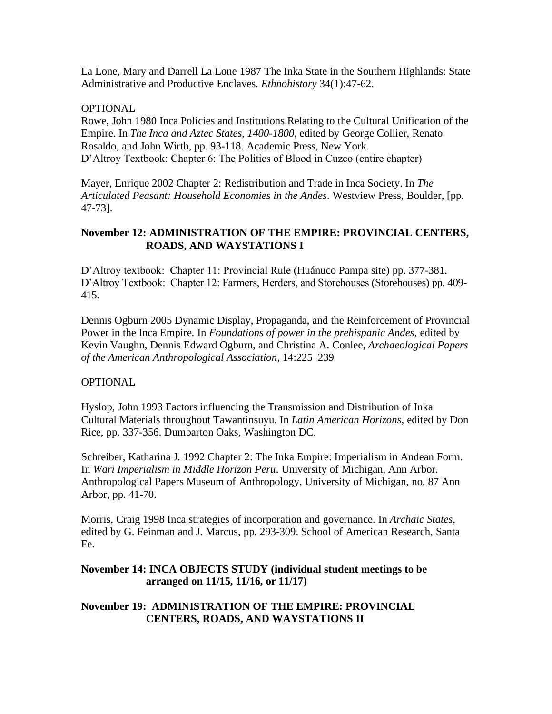La Lone, Mary and Darrell La Lone 1987 The Inka State in the Southern Highlands: State Administrative and Productive Enclaves. *Ethnohistory* 34(1):47-62.

#### **OPTIONAL**

Rowe, John 1980 Inca Policies and Institutions Relating to the Cultural Unification of the Empire. In *The Inca and Aztec States, 1400-1800*, edited by George Collier, Renato Rosaldo, and John Wirth, pp. 93-118. Academic Press, New York. D'Altroy Textbook: Chapter 6: The Politics of Blood in Cuzco (entire chapter)

Mayer, Enrique 2002 Chapter 2: Redistribution and Trade in Inca Society. In *The Articulated Peasant: Household Economies in the Andes*. Westview Press, Boulder, [pp. 47-73].

#### **November 12: ADMINISTRATION OF THE EMPIRE: PROVINCIAL CENTERS, ROADS, AND WAYSTATIONS I**

D'Altroy textbook: Chapter 11: Provincial Rule (Huánuco Pampa site) pp. 377-381. D'Altroy Textbook: Chapter 12: Farmers, Herders, and Storehouses (Storehouses) pp. 409- 415.

Dennis Ogburn 2005 Dynamic Display, Propaganda, and the Reinforcement of Provincial Power in the Inca Empire. In *Foundations of power in the prehispanic Andes*, edited by Kevin Vaughn, Dennis Edward Ogburn, and Christina A. Conlee, *Archaeological Papers of the American Anthropological Association*, 14:225–239

#### **OPTIONAL**

Hyslop, John 1993 Factors influencing the Transmission and Distribution of Inka Cultural Materials throughout Tawantinsuyu. In *Latin American Horizons*, edited by Don Rice, pp. 337-356. Dumbarton Oaks, Washington DC.

Schreiber, Katharina J. 1992 Chapter 2: The Inka Empire: Imperialism in Andean Form. In *Wari Imperialism in Middle Horizon Peru*. University of Michigan, Ann Arbor. Anthropological Papers Museum of Anthropology, University of Michigan, no. 87 Ann Arbor, pp. 41-70.

Morris, Craig 1998 Inca strategies of incorporation and governance. In *Archaic States*, edited by G. Feinman and J. Marcus, pp. 293-309. School of American Research, Santa Fe.

#### **November 14: INCA OBJECTS STUDY (individual student meetings to be arranged on 11/15, 11/16, or 11/17)**

## **November 19: ADMINISTRATION OF THE EMPIRE: PROVINCIAL CENTERS, ROADS, AND WAYSTATIONS II**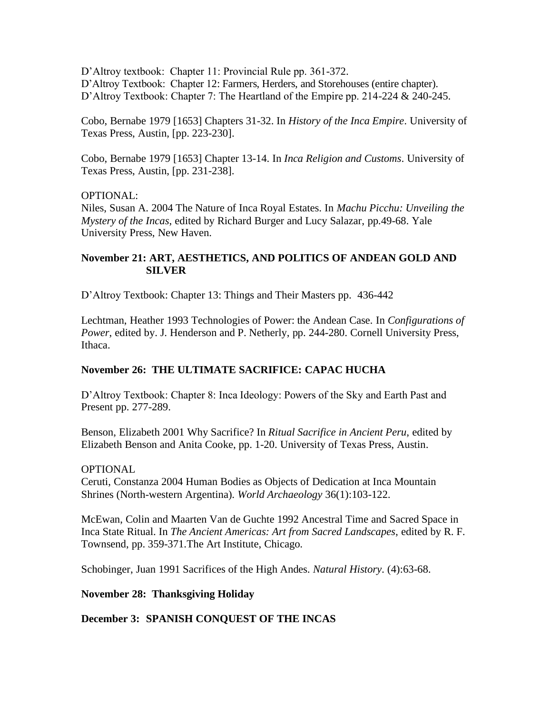D'Altroy textbook: Chapter 11: Provincial Rule pp. 361-372. D'Altroy Textbook: Chapter 12: Farmers, Herders, and Storehouses (entire chapter). D'Altroy Textbook: Chapter 7: The Heartland of the Empire pp. 214-224 & 240-245.

Cobo, Bernabe 1979 [1653] Chapters 31-32. In *History of the Inca Empire*. University of Texas Press, Austin, [pp. 223-230].

Cobo, Bernabe 1979 [1653] Chapter 13-14. In *Inca Religion and Customs*. University of Texas Press, Austin, [pp. 231-238].

## OPTIONAL:

Niles, Susan A. 2004 The Nature of Inca Royal Estates. In *Machu Picchu: Unveiling the Mystery of the Incas*, edited by Richard Burger and Lucy Salazar, pp.49-68. Yale University Press, New Haven.

## **November 21: ART, AESTHETICS, AND POLITICS OF ANDEAN GOLD AND SILVER**

D'Altroy Textbook: Chapter 13: Things and Their Masters pp. 436-442

Lechtman, Heather 1993 Technologies of Power: the Andean Case. In *Configurations of Power*, edited by. J. Henderson and P. Netherly, pp. 244-280. Cornell University Press, Ithaca.

## **November 26: THE ULTIMATE SACRIFICE: CAPAC HUCHA**

D'Altroy Textbook: Chapter 8: Inca Ideology: Powers of the Sky and Earth Past and Present pp. 277-289.

Benson, Elizabeth 2001 Why Sacrifice? In *Ritual Sacrifice in Ancient Peru*, edited by Elizabeth Benson and Anita Cooke, pp. 1-20. University of Texas Press, Austin.

#### **OPTIONAL**

Ceruti, Constanza 2004 Human Bodies as Objects of Dedication at Inca Mountain Shrines (North-western Argentina). *World Archaeology* 36(1):103-122.

McEwan, Colin and Maarten Van de Guchte 1992 Ancestral Time and Sacred Space in Inca State Ritual. In *The Ancient Americas: Art from Sacred Landscapes*, edited by R. F. Townsend, pp. 359-371.The Art Institute, Chicago.

Schobinger, Juan 1991 Sacrifices of the High Andes. *Natural History*. (4):63-68.

## **November 28: Thanksgiving Holiday**

**December 3: SPANISH CONQUEST OF THE INCAS**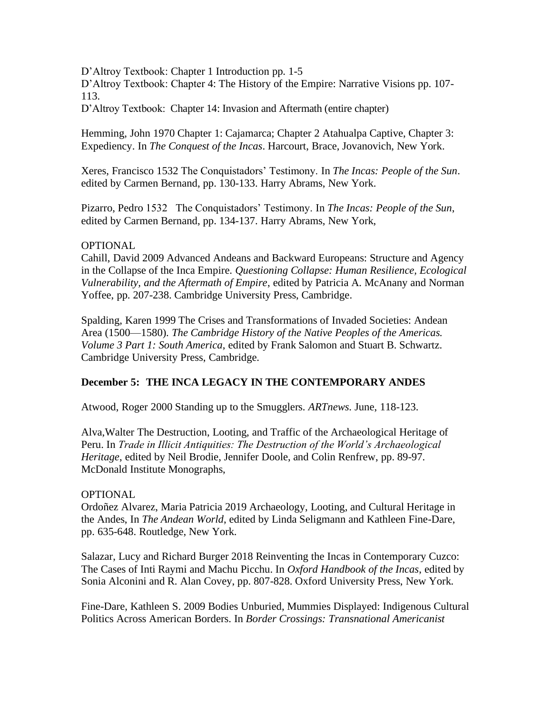D'Altroy Textbook: Chapter 1 Introduction pp. 1-5

D'Altroy Textbook: Chapter 4: The History of the Empire: Narrative Visions pp. 107- 113.

D'Altroy Textbook: Chapter 14: Invasion and Aftermath (entire chapter)

Hemming, John 1970 Chapter 1: Cajamarca; Chapter 2 Atahualpa Captive, Chapter 3: Expediency. In *The Conquest of the Incas*. Harcourt, Brace, Jovanovich, New York.

Xeres, Francisco 1532 The Conquistadors' Testimony. In *The Incas: People of the Sun*. edited by Carmen Bernand, pp. 130-133. Harry Abrams, New York.

Pizarro, Pedro 1532 The Conquistadors' Testimony. In *The Incas: People of the Sun*, edited by Carmen Bernand, pp. 134-137. Harry Abrams, New York,

## OPTIONAL

Cahill, David 2009 Advanced Andeans and Backward Europeans: Structure and Agency in the Collapse of the Inca Empire. *Questioning Collapse: Human Resilience, Ecological Vulnerability, and the Aftermath of Empire*, edited by Patricia A. McAnany and Norman Yoffee, pp. 207-238. Cambridge University Press, Cambridge.

Spalding, Karen 1999 The Crises and Transformations of Invaded Societies: Andean Area (1500—1580). *The Cambridge History of the Native Peoples of the Americas. Volume 3 Part 1: South America*, edited by Frank Salomon and Stuart B. Schwartz. Cambridge University Press, Cambridge.

# **December 5: THE INCA LEGACY IN THE CONTEMPORARY ANDES**

Atwood, Roger 2000 Standing up to the Smugglers. *ARTnews*. June, 118-123.

Alva,Walter The Destruction, Looting, and Traffic of the Archaeological Heritage of Peru. In *Trade in Illicit Antiquities: The Destruction of the World's Archaeological Heritage*, edited by Neil Brodie, Jennifer Doole, and Colin Renfrew, pp. 89-97. McDonald Institute Monographs,

#### OPTIONAL

Ordoñez Alvarez, Maria Patricia 2019 Archaeology, Looting, and Cultural Heritage in the Andes, In *The Andean World*, edited by Linda Seligmann and Kathleen Fine-Dare, pp. 635-648. Routledge, New York.

Salazar, Lucy and Richard Burger 2018 Reinventing the Incas in Contemporary Cuzco: The Cases of Inti Raymi and Machu Picchu. In *Oxford Handbook of the Incas*, edited by Sonia Alconini and R. Alan Covey, pp. 807-828. Oxford University Press, New York.

Fine-Dare, Kathleen S. 2009 Bodies Unburied, Mummies Displayed: Indigenous Cultural Politics Across American Borders. In *Border Crossings: Transnational Americanist*